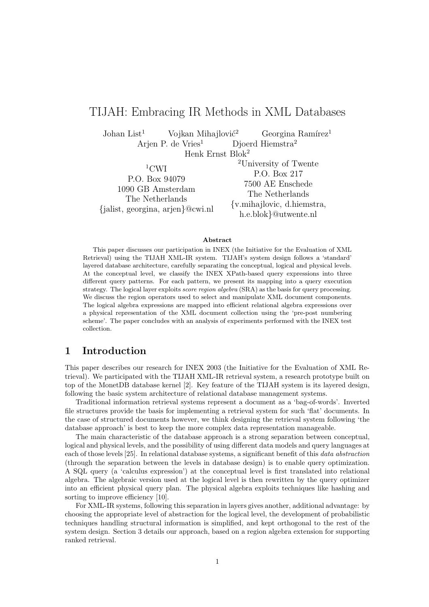# TIJAH: Embracing IR Methods in XML Databases

Johan List<sup>1</sup> Vojkan Mihajlović<sup>2</sup> Georgina Ramírez<sup>1</sup> Arjen P. de Vries<sup>1</sup> Djoerd Hiemstra<sup>2</sup>

Henk Ernst Blok<sup>2</sup>

 $1$ CWI P.O. Box 94079 1090 GB Amsterdam The Netherlands {jalist, georgina, arjen}@cwi.nl

<sup>2</sup>University of Twente P.O. Box 217 7500 AE Enschede The Netherlands {v.mihajlovic, d.hiemstra, h.e.blok}@utwente.nl

#### Abstract

This paper discusses our participation in INEX (the Initiative for the Evaluation of XML Retrieval) using the TIJAH XML-IR system. TIJAH's system design follows a 'standard' layered database architecture, carefully separating the conceptual, logical and physical levels. At the conceptual level, we classify the INEX XPath-based query expressions into three different query patterns. For each pattern, we present its mapping into a query execution strategy. The logical layer exploits *score region algebra* (SRA) as the basis for query processing. We discuss the region operators used to select and manipulate XML document components. The logical algebra expressions are mapped into efficient relational algebra expressions over a physical representation of the XML document collection using the 'pre-post numbering scheme'. The paper concludes with an analysis of experiments performed with the INEX test collection.

# 1 Introduction

This paper describes our research for INEX 2003 (the Initiative for the Evaluation of XML Retrieval). We participated with the TIJAH XML-IR retrieval system, a research prototype built on top of the MonetDB database kernel [2]. Key feature of the TIJAH system is its layered design, following the basic system architecture of relational database management systems.

Traditional information retrieval systems represent a document as a 'bag-of-words'. Inverted file structures provide the basis for implementing a retrieval system for such 'flat' documents. In the case of structured documents however, we think designing the retrieval system following 'the database approach' is best to keep the more complex data representation manageable.

The main characteristic of the database approach is a strong separation between conceptual, logical and physical levels, and the possibility of using different data models and query languages at each of those levels [25]. In relational database systems, a significant benefit of this data abstraction (through the separation between the levels in database design) is to enable query optimization. A SQL query (a 'calculus expression') at the conceptual level is first translated into relational algebra. The algebraic version used at the logical level is then rewritten by the query optimizer into an efficient physical query plan. The physical algebra exploits techniques like hashing and sorting to improve efficiency [10].

For XML-IR systems, following this separation in layers gives another, additional advantage: by choosing the appropriate level of abstraction for the logical level, the development of probabilistic techniques handling structural information is simplified, and kept orthogonal to the rest of the system design. Section 3 details our approach, based on a region algebra extension for supporting ranked retrieval.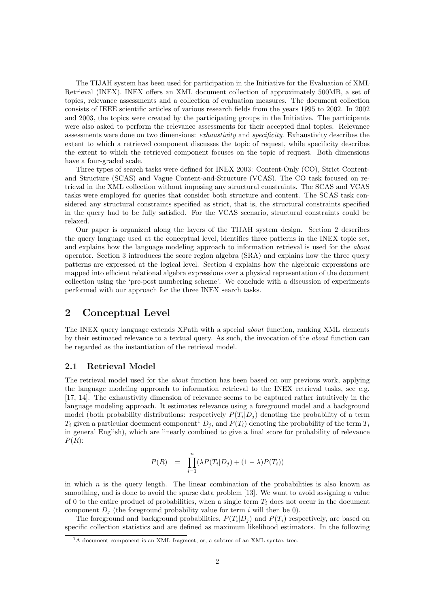The TIJAH system has been used for participation in the Initiative for the Evaluation of XML Retrieval (INEX). INEX offers an XML document collection of approximately 500MB, a set of topics, relevance assessments and a collection of evaluation measures. The document collection consists of IEEE scientific articles of various research fields from the years 1995 to 2002. In 2002 and 2003, the topics were created by the participating groups in the Initiative. The participants were also asked to perform the relevance assessments for their accepted final topics. Relevance assessments were done on two dimensions: exhaustivity and specificity. Exhaustivity describes the extent to which a retrieved component discusses the topic of request, while specificity describes the extent to which the retrieved component focuses on the topic of request. Both dimensions have a four-graded scale.

Three types of search tasks were defined for INEX 2003: Content-Only (CO), Strict Contentand Structure (SCAS) and Vague Content-and-Structure (VCAS). The CO task focused on retrieval in the XML collection without imposing any structural constraints. The SCAS and VCAS tasks were employed for queries that consider both structure and content. The SCAS task considered any structural constraints specified as strict, that is, the structural constraints specified in the query had to be fully satisfied. For the VCAS scenario, structural constraints could be relaxed.

Our paper is organized along the layers of the TIJAH system design. Section 2 describes the query language used at the conceptual level, identifies three patterns in the INEX topic set, and explains how the language modeling approach to information retrieval is used for the about operator. Section 3 introduces the score region algebra (SRA) and explains how the three query patterns are expressed at the logical level. Section 4 explains how the algebraic expressions are mapped into efficient relational algebra expressions over a physical representation of the document collection using the 'pre-post numbering scheme'. We conclude with a discussion of experiments performed with our approach for the three INEX search tasks.

# 2 Conceptual Level

The INEX query language extends XPath with a special about function, ranking XML elements by their estimated relevance to a textual query. As such, the invocation of the about function can be regarded as the instantiation of the retrieval model.

# 2.1 Retrieval Model

The retrieval model used for the about function has been based on our previous work, applying the language modeling approach to information retrieval to the INEX retrieval tasks, see e.g. [17, 14]. The exhaustivity dimension of relevance seems to be captured rather intuitively in the language modeling approach. It estimates relevance using a foreground model and a background model (both probability distributions: respectively  $P(T_i|D_j)$  denoting the probability of a term  $T_i$  given a particular document component<sup>1</sup>  $D_j$ , and  $P(T_i)$  denoting the probability of the term  $T_i$ in general English), which are linearly combined to give a final score for probability of relevance  $P(R)$ :

$$
P(R) = \prod_{i=1}^{n} (\lambda P(T_i | D_j) + (1 - \lambda) P(T_i))
$$

in which  $n$  is the query length. The linear combination of the probabilities is also known as smoothing, and is done to avoid the sparse data problem [13]. We want to avoid assigning a value of 0 to the entire product of probabilities, when a single term  $T_i$  does not occur in the document component  $D_i$  (the foreground probability value for term i will then be 0).

The foreground and background probabilities,  $P(T_i|D_j)$  and  $P(T_i)$  respectively, are based on specific collection statistics and are defined as maximum likelihood estimators. In the following

<sup>&</sup>lt;sup>1</sup>A document component is an XML fragment, or, a subtree of an XML syntax tree.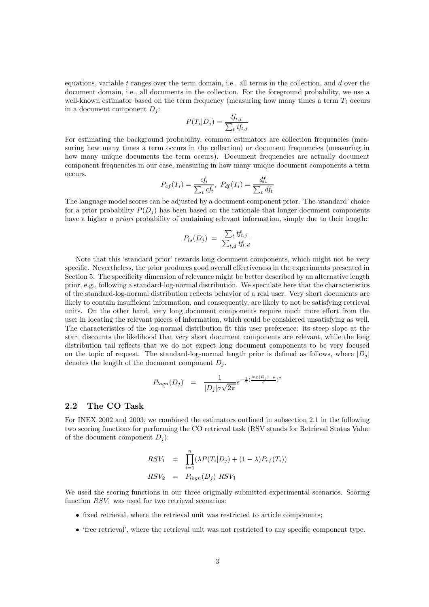equations, variable  $t$  ranges over the term domain, i.e., all terms in the collection, and  $d$  over the document domain, i.e., all documents in the collection. For the foreground probability, we use a well-known estimator based on the term frequency (measuring how many times a term  $T_i$  occurs in a document component  $D_i$ :

$$
P(T_i|D_j) = \frac{tf_{i,j}}{\sum_t tf_{t,j}}
$$

For estimating the background probability, common estimators are collection frequencies (measuring how many times a term occurs in the collection) or document frequencies (measuring in how many unique documents the term occurs). Document frequencies are actually document component frequencies in our case, measuring in how many unique document components a term occurs.

$$
P_{cf}(T_i) = \frac{cf_i}{\sum_t cf_t}, \ P_{df}(T_i) = \frac{df_i}{\sum_t df_t}
$$

The language model scores can be adjusted by a document component prior. The 'standard' choice for a prior probability  $P(D_i)$  has been based on the rationale that longer document components have a higher a priori probability of containing relevant information, simply due to their length:

$$
P_{ls}(D_j) = \frac{\sum_t tf_{t,j}}{\sum_{t,d} tf_{t,d}}
$$

Note that this 'standard prior' rewards long document components, which might not be very specific. Nevertheless, the prior produces good overall effectiveness in the experiments presented in Section 5. The specificity dimension of relevance might be better described by an alternative length prior, e.g., following a standard-log-normal distribution. We speculate here that the characteristics of the standard-log-normal distribution reflects behavior of a real user. Very short documents are likely to contain insufficient information, and consequently, are likely to not be satisfying retrieval units. On the other hand, very long document components require much more effort from the user in locating the relevant pieces of information, which could be considered unsatisfying as well. The characteristics of the log-normal distribution fit this user preference: its steep slope at the start discounts the likelihood that very short document components are relevant, while the long distribution tail reflects that we do not expect long document components to be very focused on the topic of request. The standard-log-normal length prior is defined as follows, where  $|D_i|$ denotes the length of the document component  $D_i$ .

$$
P_{logn}(D_j) = \frac{1}{|D_j|\sigma\sqrt{2\pi}}e^{-\frac{1}{2}(\frac{\log|D_j|-\mu}{\sigma})^2}
$$

## 2.2 The CO Task

For INEX 2002 and 2003, we combined the estimators outlined in subsection 2.1 in the following two scoring functions for performing the CO retrieval task (RSV stands for Retrieval Status Value of the document component  $D_i$ :

$$
RSV_1 = \prod_{i=1}^n (\lambda P(T_i | D_j) + (1 - \lambda) P_{cf}(T_i))
$$
  
\n
$$
RSV_2 = P_{logn}(D_j) RSV_1
$$

We used the scoring functions in our three originally submitted experimental scenarios. Scoring function  $RSV_1$  was used for two retrieval scenarios:

- fixed retrieval, where the retrieval unit was restricted to article components;
- 'free retrieval', where the retrieval unit was not restricted to any specific component type.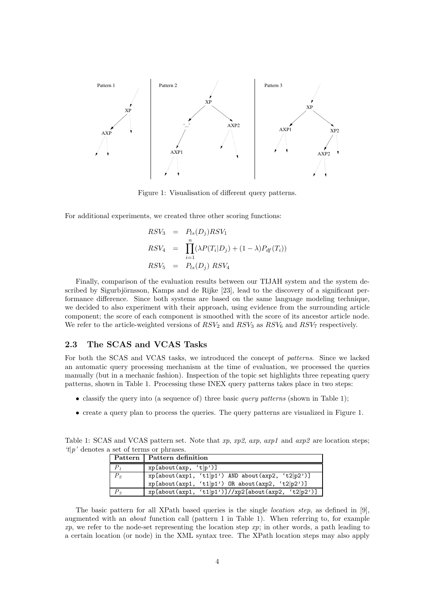

Figure 1: Visualisation of different query patterns.

For additional experiments, we created three other scoring functions:

$$
RSV_3 = P_{ls}(D_j)RSV_1
$$
  
\n
$$
RSV_4 = \prod_{i=1}^n (\lambda P(T_i|D_j) + (1 - \lambda)P_{df}(T_i))
$$
  
\n
$$
RSV_5 = P_{ls}(D_j) RSV_4
$$

Finally, comparison of the evaluation results between our TIJAH system and the system described by Sigurbjörnsson, Kamps and de Rijke [23], lead to the discovery of a significant performance difference. Since both systems are based on the same language modeling technique, we decided to also experiment with their approach, using evidence from the surrounding article component; the score of each component is smoothed with the score of its ancestor article node. We refer to the article-weighted versions of  $RSV_2$  and  $RSV_3$  as  $RSV_6$  and  $RSV_7$  respectively.

# 2.3 The SCAS and VCAS Tasks

For both the SCAS and VCAS tasks, we introduced the concept of patterns. Since we lacked an automatic query processing mechanism at the time of evaluation, we processed the queries manually (but in a mechanic fashion). Inspection of the topic set highlights three repeating query patterns, shown in Table 1. Processing these INEX query patterns takes place in two steps:

- classify the query into (a sequence of) three basic *query patterns* (shown in Table 1);
- create a query plan to process the queries. The query patterns are visualized in Figure 1.

| $t/p'$ denotes a set of terms or phrases. |                                                     |  |  |  |  |
|-------------------------------------------|-----------------------------------------------------|--|--|--|--|
|                                           | Pattern   Pattern definition                        |  |  |  |  |
|                                           | xp[about(axp, 't p')]                               |  |  |  |  |
|                                           | $xp[about(axp1, 't1 p1') AND about(axp2, 't2 p2')]$ |  |  |  |  |

 $P_3$  xp[about(axp1, 't1|p1')]//xp2[about(axp2, 't2|p2')]

Table 1: SCAS and VCAS pattern set. Note that xp,  $xp2$ ,  $\alpha xp$ ,  $\alpha xp1$  and  $\alpha xp2$  are location steps;

| The basic pattern for all XPath based queries is the single <i>location step</i> , as defined in [9], |
|-------------------------------------------------------------------------------------------------------|
| augmented with an <i>about</i> function call (pattern 1 in Table 1). When referring to, for example   |
| $xp$ , we refer to the node-set representing the location step xp; in other words, a path leading to  |
| a certain location (or node) in the XML syntax tree. The XPath location steps may also apply          |

xp[about(axp1, 't1|p1') OR about(axp2, 't2|p2')]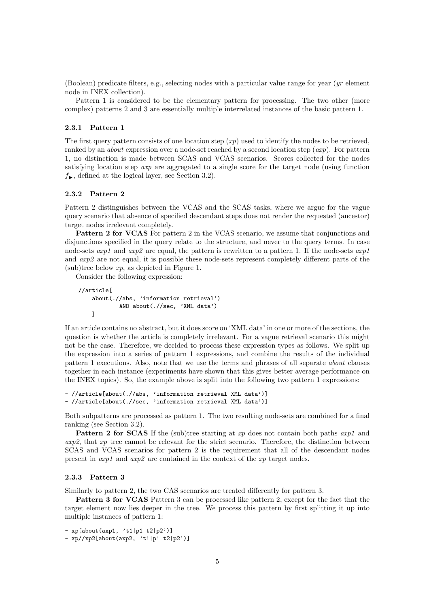(Boolean) predicate filters, e.g., selecting nodes with a particular value range for year (yr element node in INEX collection).

Pattern 1 is considered to be the elementary pattern for processing. The two other (more complex) patterns 2 and 3 are essentially multiple interrelated instances of the basic pattern 1.

#### 2.3.1 Pattern 1

The first query pattern consists of one location step  $(xp)$  used to identify the nodes to be retrieved, ranked by an *about* expression over a node-set reached by a second location step ( $axy$ ). For pattern 1, no distinction is made between SCAS and VCAS scenarios. Scores collected for the nodes satisfying location step axp are aggregated to a single score for the target node (using function  $f_{\bullet}$ , defined at the logical layer, see Section 3.2).

## 2.3.2 Pattern 2

Pattern 2 distinguishes between the VCAS and the SCAS tasks, where we argue for the vague query scenario that absence of specified descendant steps does not render the requested (ancestor) target nodes irrelevant completely.

Pattern 2 for VCAS For pattern 2 in the VCAS scenario, we assume that conjunctions and disjunctions specified in the query relate to the structure, and never to the query terms. In case node-sets  $axp1$  and  $axp2$  are equal, the pattern is rewritten to a pattern 1. If the node-sets  $axp1$ and axp2 are not equal, it is possible these node-sets represent completely different parts of the  $(\text{sub})$ tree below  $xp$ , as depicted in Figure 1.

Consider the following expression:

```
//article[
   about(.//abs, 'information retrieval')
            AND about(.//sec, 'XML data')
   ]
```
If an article contains no abstract, but it does score on 'XML data' in one or more of the sections, the question is whether the article is completely irrelevant. For a vague retrieval scenario this might not be the case. Therefore, we decided to process these expression types as follows. We split up the expression into a series of pattern 1 expressions, and combine the results of the individual pattern 1 executions. Also, note that we use the terms and phrases of all separate about clauses together in each instance (experiments have shown that this gives better average performance on the INEX topics). So, the example above is split into the following two pattern 1 expressions:

```
- //article[about(.//abs, 'information retrieval XML data')]
- //article[about(.//sec, 'information retrieval XML data')]
```
Both subpatterns are processed as pattern 1. The two resulting node-sets are combined for a final ranking (see Section 3.2).

**Pattern 2 for SCAS** If the (sub)tree starting at xp does not contain both paths  $exp1$  and  $arg2$ , that xp tree cannot be relevant for the strict scenario. Therefore, the distinction between SCAS and VCAS scenarios for pattern 2 is the requirement that all of the descendant nodes present in  $\alpha x p1$  and  $\alpha x p2$  are contained in the context of the xp target nodes.

### 2.3.3 Pattern 3

Similarly to pattern 2, the two CAS scenarios are treated differently for pattern 3.

Pattern 3 for VCAS Pattern 3 can be processed like pattern 2, except for the fact that the target element now lies deeper in the tree. We process this pattern by first splitting it up into multiple instances of pattern 1:

- xp[about(axp1, 't1|p1 t2|p2')]

- xp//xp2[about(axp2, 't1|p1 t2|p2')]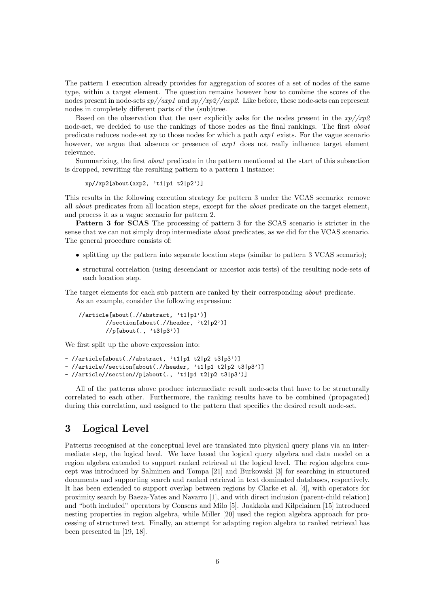The pattern 1 execution already provides for aggregation of scores of a set of nodes of the same type, within a target element. The question remains however how to combine the scores of the nodes present in node-sets  $xp//axp1$  and  $xp//xp2//axp2$ . Like before, these node-sets can represent nodes in completely different parts of the (sub)tree.

Based on the observation that the user explicitly asks for the nodes present in the  $xp//xp2$ node-set, we decided to use the rankings of those nodes as the final rankings. The first about predicate reduces node-set  $xp$  to those nodes for which a path  $axp1$  exists. For the vague scenario however, we argue that absence or presence of  $exp1$  does not really influence target element relevance.

Summarizing, the first about predicate in the pattern mentioned at the start of this subsection is dropped, rewriting the resulting pattern to a pattern 1 instance:

 $xp//xp2[about(axp2, 't1|p1 t2|p2')]$ 

This results in the following execution strategy for pattern 3 under the VCAS scenario: remove all about predicates from all location steps, except for the about predicate on the target element, and process it as a vague scenario for pattern 2.

Pattern 3 for SCAS The processing of pattern 3 for the SCAS scenario is stricter in the sense that we can not simply drop intermediate about predicates, as we did for the VCAS scenario. The general procedure consists of:

- splitting up the pattern into separate location steps (similar to pattern 3 VCAS scenario);
- structural correlation (using descendant or ancestor axis tests) of the resulting node-sets of each location step.

The target elements for each sub pattern are ranked by their corresponding about predicate. As an example, consider the following expression:

//article[about(.//abstract, 't1|p1')] //section[about(.//header, 't2|p2')] //p[about(., 't3|p3')]

We first split up the above expression into:

```
- //article[about(.//abstract, 't1|p1 t2|p2 t3|p3')]
```
- //article//section[about(.//header, 't1|p1 t2|p2 t3|p3')]

- //article//section//p[about(., 't1|p1 t2|p2 t3|p3')]

All of the patterns above produce intermediate result node-sets that have to be structurally correlated to each other. Furthermore, the ranking results have to be combined (propagated) during this correlation, and assigned to the pattern that specifies the desired result node-set.

# 3 Logical Level

Patterns recognised at the conceptual level are translated into physical query plans via an intermediate step, the logical level. We have based the logical query algebra and data model on a region algebra extended to support ranked retrieval at the logical level. The region algebra concept was introduced by Salminen and Tompa [21] and Burkowski [3] for searching in structured documents and supporting search and ranked retrieval in text dominated databases, respectively. It has been extended to support overlap between regions by Clarke et al. [4], with operators for proximity search by Baeza-Yates and Navarro [1], and with direct inclusion (parent-child relation) and "both included" operators by Consens and Milo [5]. Jaakkola and Kilpelainen [15] introduced nesting properties in region algebra, while Miller [20] used the region algebra approach for processing of structured text. Finally, an attempt for adapting region algebra to ranked retrieval has been presented in [19, 18].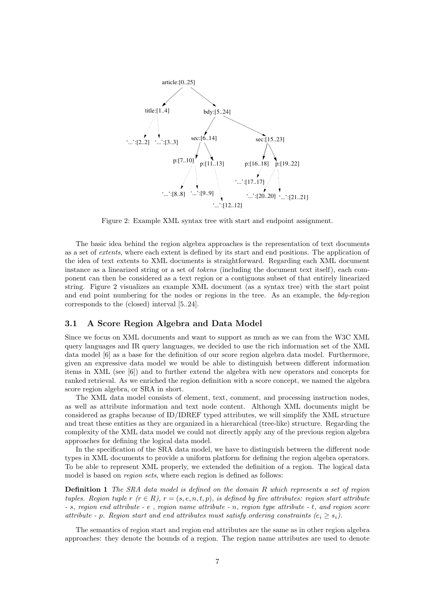

Figure 2: Example XML syntax tree with start and endpoint assignment.

The basic idea behind the region algebra approaches is the representation of text documents as a set of extents, where each extent is defined by its start and end positions. The application of the idea of text extents to XML documents is straightforward. Regarding each XML document instance as a linearized string or a set of tokens (including the document text itself), each component can then be considered as a text region or a contiguous subset of that entirely linearized string. Figure 2 visualizes an example XML document (as a syntax tree) with the start point and end point numbering for the nodes or regions in the tree. As an example, the bdy-region corresponds to the (closed) interval [5..24].

# 3.1 A Score Region Algebra and Data Model

Since we focus on XML documents and want to support as much as we can from the W3C XML query languages and IR query languages, we decided to use the rich information set of the XML data model [6] as a base for the definition of our score region algebra data model. Furthermore, given an expressive data model we would be able to distinguish between different information items in XML (see [6]) and to further extend the algebra with new operators and concepts for ranked retrieval. As we enriched the region definition with a score concept, we named the algebra score region algebra, or SRA in short.

The XML data model consists of element, text, comment, and processing instruction nodes, as well as attribute information and text node content. Although XML documents might be considered as graphs because of ID/IDREF typed attributes, we will simplify the XML structure and treat these entities as they are organized in a hierarchical (tree-like) structure. Regarding the complexity of the XML data model we could not directly apply any of the previous region algebra approaches for defining the logical data model.

In the specification of the SRA data model, we have to distinguish between the different node types in XML documents to provide a uniform platform for defining the region algebra operators. To be able to represent XML properly, we extended the definition of a region. The logical data model is based on *region sets*, where each region is defined as follows:

**Definition 1** The SRA data model is defined on the domain R which represents a set of region tuples. Region tuple r  $(r \in R)$ ,  $r = (s, e, n, t, p)$ , is defined by five attributes: region start attribute - s, region end attribute - e , region name attribute - n, region type attribute - t, and region score attribute - p. Region start and end attributes must satisfy ordering constraints  $(e_i \geq s_i)$ .

The semantics of region start and region end attributes are the same as in other region algebra approaches: they denote the bounds of a region. The region name attributes are used to denote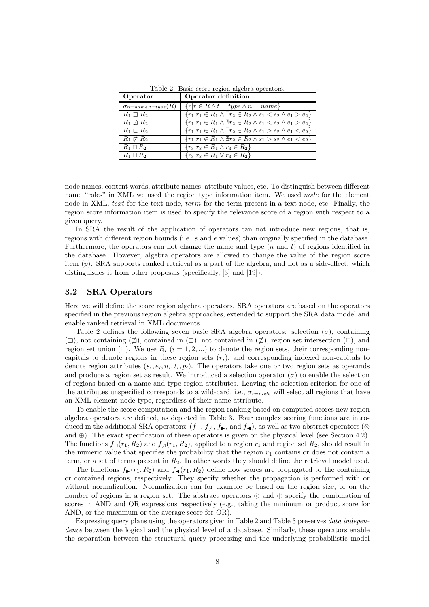| Operator                | Operator definition                                                                          |
|-------------------------|----------------------------------------------------------------------------------------------|
|                         | $\sigma_{n = name, t = type}(R) \mid \{r   r \in R \land t = type \land n = name\}$          |
| $R_1 \supset R_2$       | $\boxed{\{r_1 r_1 \in R_1 \land \exists r_2 \in R_2 \land s_1 < s_2 \land e_1 > e_2\}}$      |
| $R_1 \not\sqsupset R_2$ | $\{r_1 r_1 \in R_1 \land \nexists r_2 \in R_2 \land s_1 < s_2 \land e_1 > e_2\}$             |
| $R_1 \sqsubset R_2$     | ${r_1 r_1 \in R_1 \land \exists r_2 \in R_2 \land s_1 > s_2 \land e_1 < e_2}$                |
| $R_1 \not\sqsubset R_2$ | $\overline{\{r_1 r_1\in R_1 \wedge \nexists r_2\in R_2 \wedge s_1 > s_2 \wedge e_1 < e_2\}}$ |
| $R_1 \sqcap R_2$        | ${r_3 r_3 \in R_1 \wedge r_3 \in R_2}$                                                       |
| $R_1 \sqcup R_2$        | $\{r_3 r_3\in R_1\vee r_3\in R_2\}$                                                          |

Table 2: Basic score region algebra operators.

node names, content words, attribute names, attribute values, etc. To distinguish between different name "roles" in XML we used the region type information item. We used node for the element node in XML, text for the text node, term for the term present in a text node, etc. Finally, the region score information item is used to specify the relevance score of a region with respect to a given query.

In SRA the result of the application of operators can not introduce new regions, that is, regions with different region bounds (i.e. s and e values) than originally specified in the database. Furthermore, the operators can not change the name and type  $(n \text{ and } t)$  of regions identified in the database. However, algebra operators are allowed to change the value of the region score item (p). SRA supports ranked retrieval as a part of the algebra, and not as a side-effect, which distinguishes it from other proposals (specifically, [3] and [19]).

## 3.2 SRA Operators

Here we will define the score region algebra operators. SRA operators are based on the operators specified in the previous region algebra approaches, extended to support the SRA data model and enable ranked retrieval in XML documents.

Table 2 defines the following seven basic SRA algebra operators: selection  $(\sigma)$ , containing  $(\square)$ , not containing  $(\square)$ , contained in  $(\square)$ , not contained in  $(\square)$ , region set intersection  $(\square)$ , and region set union ( $\Box$ ). We use  $R_i$  ( $i = 1, 2, \dots$ ) to denote the region sets, their corresponding noncapitals to denote regions in these region sets  $(r_i)$ , and corresponding indexed non-capitals to denote region attributes  $(s_i, e_i, n_i, t_i, p_i)$ . The operators take one or two region sets as operands and produce a region set as result. We introduced a selection operator  $(\sigma)$  to enable the selection of regions based on a name and type region attributes. Leaving the selection criterion for one of the attributes unspecified corresponds to a wild-card, i.e.,  $\sigma_{t=node}$  will select all regions that have an XML element node type, regardless of their name attribute.

To enable the score computation and the region ranking based on computed scores new region algebra operators are defined, as depicted in Table 3. Four complex scoring functions are introduced in the additional SRA operators:  $(f_{\square}, f_{\square}, f_{\blacktriangleright}, \text{and } f_{\blacktriangleleft})$ , as well as two abstract operators (⊗ and  $\oplus$ ). The exact specification of these operators is given on the physical level (see Section 4.2). The functions  $f_{\Box}(r_1, R_2)$  and  $f_{\Box}(r_1, R_2)$ , applied to a region  $r_1$  and region set  $R_2$ , should result in the numeric value that specifies the probability that the region  $r_1$  contains or does not contain a term, or a set of terms present in  $R_2$ . In other words they should define the retrieval model used.

The functions  $f_{\blacktriangleright}(r_1, R_2)$  and  $f_{\blacktriangleleft}(r_1, R_2)$  define how scores are propagated to the containing or contained regions, respectively. They specify whether the propagation is performed with or without normalization. Normalization can for example be based on the region size, or on the number of regions in a region set. The abstract operators ⊗ and ⊕ specify the combination of scores in AND and OR expressions respectively (e.g., taking the minimum or product score for AND, or the maximum or the average score for OR).

Expressing query plans using the operators given in Table 2 and Table 3 preserves data independence between the logical and the physical level of a database. Similarly, these operators enable the separation between the structural query processing and the underlying probabilistic model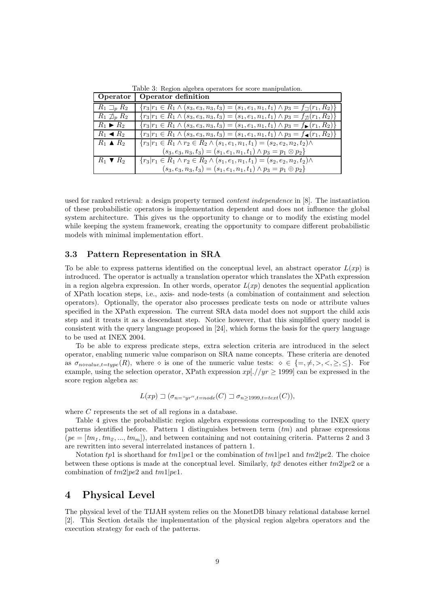|                              | Operator   Operator definition                                                                                      |
|------------------------------|---------------------------------------------------------------------------------------------------------------------|
| $R_1 \sqsupset_{p} R_2$      | $\{r_3 r_1 \in R_1 \wedge (s_3, e_3, n_3, t_3) = (s_1, e_1, n_1, t_1) \wedge p_3 = f_{\square}(r_1, R_2)\}\$        |
| $R_1 \not\supseteq_p R_2$    | $\{r_3 r_1 \in R_1 \wedge (s_3, e_3, n_3, t_3) = (s_1, e_1, n_1, t_1) \wedge p_3 = f_{\mathcal{D}}(r_1, R_2)\}\$    |
| $R_1 \triangleright R_2$     | ${r_3 r_1 \in R_1 \land (s_3, e_3, n_3, t_3) = (s_1, e_1, n_1, t_1) \land p_3 = f_{\blacktriangleright}(r_1, R_2)}$ |
| $R_1 \triangleleft R_2$      | ${r_3 r_1 \in R_1 \land (s_3, e_3, n_3, t_3) = (s_1, e_1, n_1, t_1) \land p_3 = f_{\blacktriangleleft}(r_1, R_2)}$  |
| $R_1 \triangle R_2$          | ${r_3 r_1 \in R_1 \land r_2 \in R_2 \land (s_1, e_1, n_1, t_1) = (s_2, e_2, n_2, t_2) \land$                        |
|                              | $(s_3, e_3, n_3, t_3) = (s_1, e_1, n_1, t_1) \wedge p_3 = p_1 \otimes p_2$                                          |
| $R_1 \blacktriangledown R_2$ | $\{r_3 r_1 \in R_1 \wedge r_2 \in R_2 \wedge (s_1, e_1, n_1, t_1) = (s_2, e_2, n_2, t_2) \wedge$                    |
|                              | $(s_3, e_3, n_3, t_3) = (s_1, e_1, n_1, t_1) \wedge p_3 = p_1 \oplus p_2$                                           |

Table 3: Region algebra operators for score manipulation.

used for ranked retrieval: a design property termed content independence in [8]. The instantiation of these probabilistic operators is implementation dependent and does not influence the global system architecture. This gives us the opportunity to change or to modify the existing model while keeping the system framework, creating the opportunity to compare different probabilistic models with minimal implementation effort.

## 3.3 Pattern Representation in SRA

To be able to express patterns identified on the conceptual level, an abstract operator  $L(xp)$  is introduced. The operator is actually a translation operator which translates the XPath expression in a region algebra expression. In other words, operator  $L(xp)$  denotes the sequential application of XPath location steps, i.e., axis- and node-tests (a combination of containment and selection operators). Optionally, the operator also processes predicate tests on node or attribute values specified in the XPath expression. The current SRA data model does not support the child axis step and it treats it as a descendant step. Notice however, that this simplified query model is consistent with the query language proposed in [24], which forms the basis for the query language to be used at INEX 2004.

To be able to express predicate steps, extra selection criteria are introduced in the select operator, enabling numeric value comparison on SRA name concepts. These criteria are denoted as  $\sigma_{novalue, t = type}(R)$ , where  $\diamond$  is one of the numeric value tests:  $\diamond \in \{\Rightarrow, \neq, \gt, \leq, \leq\}$ . For example, using the selection operator, XPath expression  $xp[.//yr \ge 1999]$  can be expressed in the score region algebra as:

$$
L(xp) \sqsupset (\sigma_{n=\text{``}yr'', t=node}(C) \sqsupset \sigma_{n\geq 1999, t=text}(C)),
$$

where C represents the set of all regions in a database.

Table 4 gives the probabilistic region algebra expressions corresponding to the INEX query patterns identified before. Pattern 1 distinguishes between term  $(tm)$  and phrase expressions  $(pe = [tm_1, tm_2, ..., tm_m])$ , and between containing and not containing criteria. Patterns 2 and 3 are rewritten into several interrelated instances of pattern 1.

Notation tp1 is shorthand for  $tm1|pe1$  or the combination of  $tm1|pe1$  and  $tm2|pe2$ . The choice between these options is made at the conceptual level. Similarly,  $tp2$  denotes either  $tm2|pe2$  or a combination of  $tm2|pe2$  and  $tm1|pe1$ .

# 4 Physical Level

The physical level of the TIJAH system relies on the MonetDB binary relational database kernel [2]. This Section details the implementation of the physical region algebra operators and the execution strategy for each of the patterns.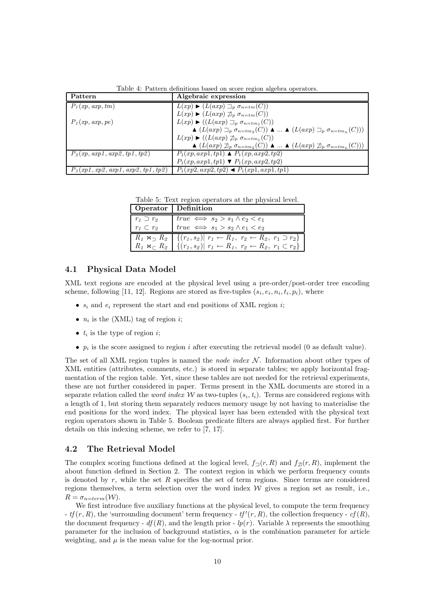Table 4: Pattern definitions based on score region algebra operators.

| Pattern                                     | Algebraic expression                                                                                                                                  |
|---------------------------------------------|-------------------------------------------------------------------------------------------------------------------------------------------------------|
| $P_1(xp, axp, tm)$                          | $L(xp)$ $\blacktriangleright$ $(L(axp) \sqsupset_{p} \sigma_{n=tm}(C))$                                                                               |
|                                             | $L(xp)$ $\blacktriangleright$ $(L(axp) \not\sqsupseteq_p \sigma_{n=tm}(C))$                                                                           |
| $P_1(xp, axp, pe)$                          | $L(xp)$ $\blacktriangleright$ $((L(axp)\sqsupset_{p} \sigma_{n=tm_1}(C)))$                                                                            |
|                                             | $\blacktriangle (L(axp) \sqsupset_{p} \sigma_{n \text{=}tm_2}(C)) \blacktriangle$ $\blacktriangle (L(axp) \sqsupset_{p} \sigma_{n \text{=}tm_n}(C)))$ |
|                                             | $L(xp)$ $\blacktriangleright$ $((L(axp) \not\sqsupset_{p} \sigma_{n=tm_1}(C)))$                                                                       |
|                                             | $\blacktriangle$ $(L(axp) \not\sqsupset_{p} \sigma_{n=tm_2}(C)) \blacktriangle$ $\blacktriangle$ $(L(axp) \not\sqsupset_{p} \sigma_{n=tm_n}(C)))$     |
| $P_2(xp, \alpha xp1, \alpha xp2, tp1, tp2)$ | $P_1(xp, axp1, tp1) \triangle P_1(xp, axp2, tp2)$                                                                                                     |
|                                             | $P_1(xp, axp1, tp1) \blacktriangledown P_1(xp, axp2, tp2)$                                                                                            |
| $P_3(xp1, xp2, exp1, exp2, tp1, tp2)$       | $P_1(xp2, exp2, tp2) \triangleleft P_1(xp1, exp1, tp1)$                                                                                               |

Table 5: Text region operators at the physical level.

| Operator   Definition |                                                                                                                                                                                                              |
|-----------------------|--------------------------------------------------------------------------------------------------------------------------------------------------------------------------------------------------------------|
| $r_1 \supset r_2$     | $\begin{array}{rcl}\n\text{true} & \Longleftrightarrow & s_2 > s_1 \wedge e_2 < e_1 \\ \text{true} & \Longleftrightarrow & s_1 > s_2 \wedge e_1 < e_2\n\end{array}$                                          |
| $r_1 \subset r_2$     |                                                                                                                                                                                                              |
|                       |                                                                                                                                                                                                              |
|                       | $R_1 \Join_{\supset} R_2$ $\{(r_1, s_2)   r_1 \leftarrow R_1, r_2 \leftarrow R_2, r_1 \supset r_2\}$<br>$R_1 \Join_{\supset} R_2$ $\{(r_1, s_2)   r_1 \leftarrow R_1, r_2 \leftarrow R_2, r_1 \subset r_2\}$ |

## 4.1 Physical Data Model

XML text regions are encoded at the physical level using a pre-order/post-order tree encoding scheme, following [11, 12]. Regions are stored as five-tuples  $(s_i, e_i, n_i, t_i, p_i)$ , where

- $s_i$  and  $e_i$  represent the start and end positions of XML region *i*;
- $n_i$  is the (XML) tag of region *i*;
- $t_i$  is the type of region  $i$ ;
- $p_i$  is the score assigned to region i after executing the retrieval model (0 as default value).

The set of all XML region tuples is named the node index  $\mathcal N$ . Information about other types of XML entities (attributes, comments, etc.) is stored in separate tables; we apply horizontal fragmentation of the region table. Yet, since these tables are not needed for the retrieval experiments, these are not further considered in paper. Terms present in the XML documents are stored in a separate relation called the *word index* W as two-tuples  $(s_i, t_i)$ . Terms are considered regions with a length of 1, but storing them separately reduces memory usage by not having to materialise the end positions for the word index. The physical layer has been extended with the physical text region operators shown in Table 5. Boolean predicate filters are always applied first. For further details on this indexing scheme, we refer to [7, 17].

# 4.2 The Retrieval Model

The complex scoring functions defined at the logical level,  $f_{\neg}(r, R)$  and  $f_{\nexists}(r, R)$ , implement the about function defined in Section 2. The context region in which we perform frequency counts is denoted by  $r$ , while the set  $R$  specifies the set of term regions. Since terms are considered regions themselves, a term selection over the word index  $W$  gives a region set as result, i.e.,  $R = \sigma_{n=term}(\mathcal{W}).$ 

We first introduce five auxiliary functions at the physical level, to compute the term frequency -  $tf(r, R)$ , the 'surrounding document' term frequency -  $tf'(r, R)$ , the collection frequency -  $cf(R)$ , the document frequency -  $df(R)$ , and the length prior -  $lp(r)$ . Variable  $\lambda$  represents the smoothing parameter for the inclusion of background statistics,  $\alpha$  is the combination parameter for article weighting, and  $\mu$  is the mean value for the log-normal prior.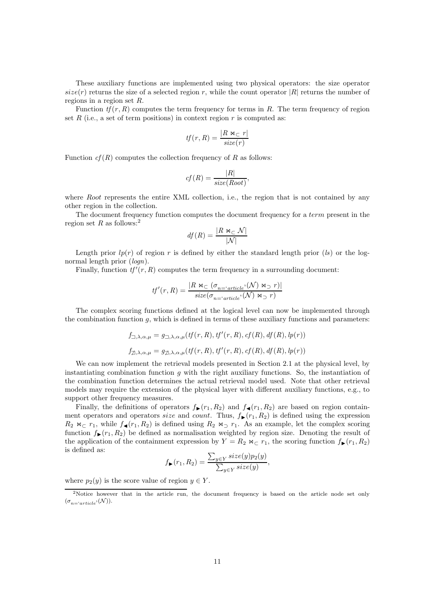These auxiliary functions are implemented using two physical operators: the size operator  $size(r)$  returns the size of a selected region r, while the count operator |R| returns the number of regions in a region set R.

Function  $tf(r, R)$  computes the term frequency for terms in R. The term frequency of region set R (i.e., a set of term positions) in context region  $r$  is computed as:

$$
tf(r,R) = \frac{|R \bowtie_{\sub{r}} r|}{size(r)}
$$

Function  $cf(R)$  computes the collection frequency of R as follows:

$$
cf(R) = \frac{|R|}{size(Root)},
$$

where Root represents the entire XML collection, i.e., the region that is not contained by any other region in the collection.

The document frequency function computes the document frequency for a *term* present in the region set R as follows:<sup>2</sup>

$$
df(R) = \frac{|R \bowtie_{\subset} \mathcal{N}|}{|\mathcal{N}|}
$$

Length prior  $lp(r)$  of region r is defined by either the standard length prior (ls) or the lognormal length prior  $(log n)$ .

Finally, function  $tf'(r, R)$  computes the term frequency in a surrounding document:

$$
tf'(r,R) = \frac{|R \bowtie_{\subseteq} (\sigma_{n = \text{'article'}}(\mathcal{N}) \bowtie_{\supset} r)|}{size(\sigma_{n = \text{'}article'}(\mathcal{N}) \bowtie_{\supset} r)}
$$

The complex scoring functions defined at the logical level can now be implemented through the combination function  $g$ , which is defined in terms of these auxiliary functions and parameters:

$$
f_{\square,\lambda,\alpha,\mu} = g_{\square,\lambda,\alpha,\mu}(tf(r,R),tf'(r,R),cf(R),df(R),lp(r))
$$
  

$$
f_{\square,\lambda,\alpha,\mu} = g_{\square,\lambda,\alpha,\mu}(tf(r,R),tf'(r,R),cf(R),df(R),lp(r))
$$

We can now implement the retrieval models presented in Section 2.1 at the physical level, by instantiating combination function  $q$  with the right auxiliary functions. So, the instantiation of the combination function determines the actual retrieval model used. Note that other retrieval models may require the extension of the physical layer with different auxiliary functions, e.g., to support other frequency measures.

Finally, the definitions of operators  $f_{\blacktriangleright}(r_1, R_2)$  and  $f_{\blacktriangleleft}(r_1, R_2)$  are based on region containment operators and operators size and count. Thus,  $f_{\blacktriangleright}(r_1, R_2)$  is defined using the expression  $R_2 \Join_{\sub{r_1}} \text{while } f_{\blacktriangleleft}(r_1, R_2)$  is defined using  $R_2 \Join_{\sub{r_1}} R_3$  an example, let the complex scoring function  $f_{\blacktriangleright}(r_1, R_2)$  be defined as normalisation weighted by region size. Denoting the result of the application of the containment expression by  $Y = R_2 \Join_{\mathbb{C}} r_1$ , the scoring function  $f_{\blacktriangleright}(r_1, R_2)$ is defined as:

$$
f_{\blacktriangleright}(r_1, R_2) = \frac{\sum_{y \in Y} size(y)p_2(y)}{\sum_{y \in Y} size(y)}
$$

,

where  $p_2(y)$  is the score value of region  $y \in Y$ .

<sup>&</sup>lt;sup>2</sup>Notice however that in the article run, the document frequency is based on the article node set only  $(\sigma_{n=^{}}inter{ (}\mathcal{N})).$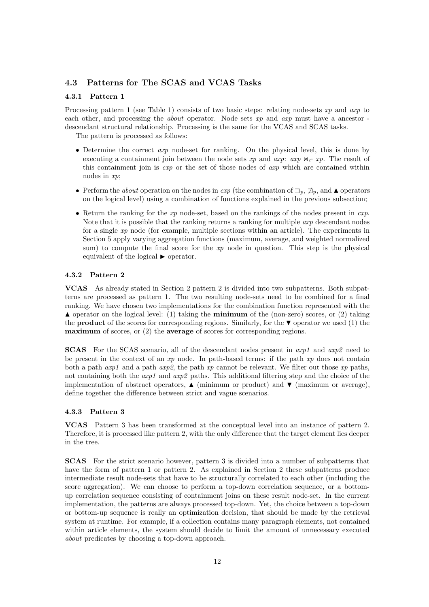# 4.3 Patterns for The SCAS and VCAS Tasks

#### 4.3.1 Pattern 1

Processing pattern 1 (see Table 1) consists of two basic steps: relating node-sets xp and  $\alpha xp$  to each other, and processing the *about* operator. Node sets xp and axp must have a ancestor descendant structural relationship. Processing is the same for the VCAS and SCAS tasks.

The pattern is processed as follows:

- Determine the correct axp node-set for ranking. On the physical level, this is done by executing a containment join between the node sets xp and axp:  $\arg \alpha \geq x$ . The result of this containment join is  $\exp$  or the set of those nodes of  $\exp$  which are contained within nodes in xp;
- Perform the *about* operation on the nodes in  $\exp$  (the combination of  $\Box_p$ ,  $\Box_p$ , and  $\blacktriangle$  operators on the logical level) using a combination of functions explained in the previous subsection;
- Return the ranking for the  $xp$  node-set, based on the rankings of the nodes present in  $cxp$ . Note that it is possible that the ranking returns a ranking for multiple  $\arg$  descendant nodes for a single xp node (for example, multiple sections within an article). The experiments in Section 5 apply varying aggregation functions (maximum, average, and weighted normalized sum) to compute the final score for the  $xp$  node in question. This step is the physical equivalent of the logical  $\blacktriangleright$  operator.

### 4.3.2 Pattern 2

VCAS As already stated in Section 2 pattern 2 is divided into two subpatterns. Both subpatterns are processed as pattern 1. The two resulting node-sets need to be combined for a final ranking. We have chosen two implementations for the combination function represented with the  $\blacktriangle$  operator on the logical level: (1) taking the **minimum** of the (non-zero) scores, or (2) taking the **product** of the scores for corresponding regions. Similarly, for the  $\blacktriangledown$  operator we used (1) the maximum of scores, or (2) the average of scores for corresponding regions.

SCAS For the SCAS scenario, all of the descendant nodes present in axp1 and axp2 need to be present in the context of an  $xp$  node. In path-based terms: if the path  $xp$  does not contain both a path  $exp1$  and a path  $exp2$ , the path xp cannot be relevant. We filter out those xp paths, not containing both the  $exp1$  and  $arg2$  paths. This additional filtering step and the choice of the implementation of abstract operators,  $\blacktriangle$  (minimum or product) and  $\nabla$  (maximum or average), define together the difference between strict and vague scenarios.

### 4.3.3 Pattern 3

VCAS Pattern 3 has been transformed at the conceptual level into an instance of pattern 2. Therefore, it is processed like pattern 2, with the only difference that the target element lies deeper in the tree.

SCAS For the strict scenario however, pattern 3 is divided into a number of subpatterns that have the form of pattern 1 or pattern 2. As explained in Section 2 these subpatterns produce intermediate result node-sets that have to be structurally correlated to each other (including the score aggregation). We can choose to perform a top-down correlation sequence, or a bottomup correlation sequence consisting of containment joins on these result node-set. In the current implementation, the patterns are always processed top-down. Yet, the choice between a top-down or bottom-up sequence is really an optimization decision, that should be made by the retrieval system at runtime. For example, if a collection contains many paragraph elements, not contained within article elements, the system should decide to limit the amount of unnecessary executed about predicates by choosing a top-down approach.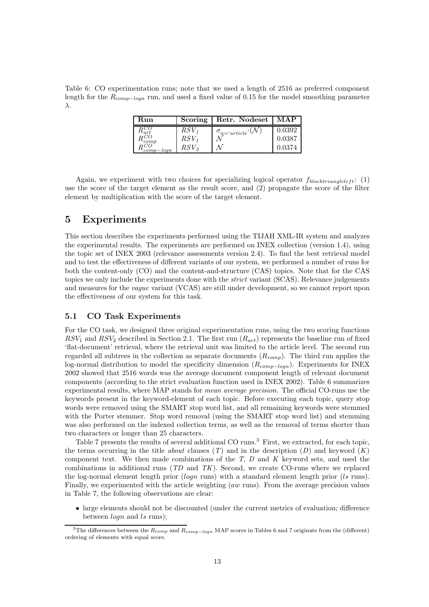Table 6: CO experimentation runs; note that we used a length of 2516 as preferred component length for the  $R_{comp-logn}$  run, and used a fixed value of 0.15 for the model smoothing parameter λ.

| Run            | Scoring   | Retr. Nodeset   | MAP    |
|----------------|-----------|-----------------|--------|
| ar             | $RSV_1$   | $n = 'article'$ | 0.0392 |
| $_{comp}$      | $RSV_1$   |                 | 0.0387 |
| $comp - log n$ | $RSV_{2}$ |                 | 0.0374 |

Again, we experiment with two choices for specializing logical operator  $f_{blacktriangle}$  (1) use the score of the target element as the result score, and (2) propagate the score of the filter element by multiplication with the score of the target element.

# 5 Experiments

This section describes the experiments performed using the TIJAH XML-IR system and analyzes the experimental results. The experiments are performed on INEX collection (version 1.4), using the topic set of INEX 2003 (relevance assessments version 2.4). To find the best retrieval model and to test the effectiveness of different variants of our system, we performed a number of runs for both the content-only (CO) and the content-and-structure (CAS) topics. Note that for the CAS topics we only include the experiments done with the strict variant (SCAS). Relevance judgements and measures for the vague variant (VCAS) are still under development, so we cannot report upon the effectiveness of our system for this task.

# 5.1 CO Task Experiments

For the CO task, we designed three original experimentation runs, using the two scoring functions  $RSV_1$  and  $RSV_2$  described in Section 2.1. The first run  $(R_{art})$  represents the baseline run of fixed 'flat-document' retrieval, where the retrieval unit was limited to the article level. The second run regarded all subtrees in the collection as separate documents  $(R_{comp})$ . The third run applies the log-normal distribution to model the specificity dimension  $(R_{comp-logn})$ . Experiments for INEX 2002 showed that 2516 words was the average document component length of relevant document components (according to the strict evaluation function used in INEX 2002). Table 6 summarizes experimental results, where MAP stands for mean average precision. The official CO-runs use the keywords present in the keyword-element of each topic. Before executing each topic, query stop words were removed using the SMART stop word list, and all remaining keywords were stemmed with the Porter stemmer. Stop word removal (using the SMART stop word list) and stemming was also performed on the indexed collection terms, as well as the removal of terms shorter than two characters or longer than 25 characters.

Table 7 presents the results of several additional CO runs.<sup>3</sup> First, we extracted, for each topic, the terms occurring in the title *about* clauses  $(T)$  and in the description  $(D)$  and keyword  $(K)$ component text. We then made combinations of the  $T$ ,  $D$  and  $K$  keyword sets, and used the combinations in additional runs  $(TD \text{ and } TK)$ . Second, we create CO-runs where we replaced the log-normal element length prior  $(logn$  runs) with a standard element length prior (ls runs). Finally, we experimented with the article weighting (aw runs). From the average precision values in Table 7, the following observations are clear:

• large elements should not be discounted (under the current metrics of evaluation; difference between *logn* and *ls* runs);

<sup>&</sup>lt;sup>3</sup>The differences between the  $R_{comp}$  and  $R_{comp-logn}$  MAP scores in Tables 6 and 7 originate from the (different) ordering of elements with equal score.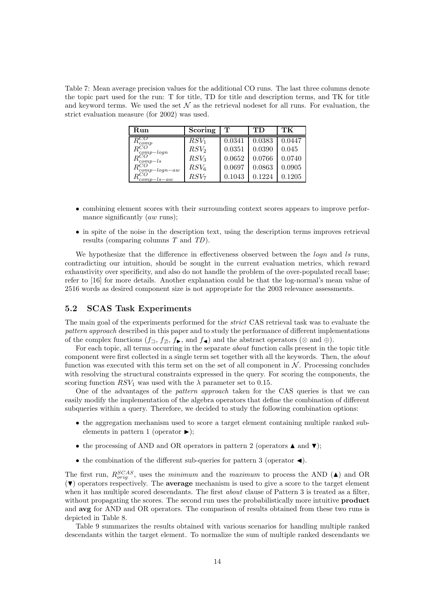Table 7: Mean average precision values for the additional CO runs. The last three columns denote the topic part used for the run: T for title, TD for title and description terms, and TK for title and keyword terms. We used the set  $\mathcal N$  as the retrieval nodeset for all runs. For evaluation, the strict evaluation measure (for 2002) was used.

| Run                                                                          | Scoring          | т      | TD     | TК     |
|------------------------------------------------------------------------------|------------------|--------|--------|--------|
| $^{\rm \nu}$ comp                                                            | $RSV_1$          | 0.0341 | 0.0383 | 0.0447 |
|                                                                              | RSV <sub>2</sub> | 0.0351 | 0.0390 | 0.045  |
| $\begin{array}{l} \tilde{R_{comp-logn}^{CO}} \ R_{comp-ls}^{CO} \end{array}$ | RSV <sub>3</sub> | 0.0652 | 0.0766 | 0.0740 |
| $R_{comp-log n-aw}^{CO}$                                                     | $RSV_6$          | 0.0697 | 0.0863 | 0.0905 |
| $'comp-ls-aw$                                                                | $RSV_7$          | 0.1043 | 0.1224 | 0.1205 |

- combining element scores with their surrounding context scores appears to improve performance significantly  $(aw \text{ runs});$
- in spite of the noise in the description text, using the description terms improves retrieval results (comparing columns T and TD).

We hypothesize that the difference in effectiveness observed between the  $\log n$  and ls runs, contradicting our intuition, should be sought in the current evaluation metrics, which reward exhaustivity over specificity, and also do not handle the problem of the over-populated recall base; refer to [16] for more details. Another explanation could be that the log-normal's mean value of 2516 words as desired component size is not appropriate for the 2003 relevance assessments.

# 5.2 SCAS Task Experiments

The main goal of the experiments performed for the strict CAS retrieval task was to evaluate the pattern approach described in this paper and to study the performance of different implementations of the complex functions  $(f_{\exists}, f_{\exists}, f_{\blacktriangleright}, \text{and } f_{\blacktriangleleft})$  and the abstract operators (⊗ and ⊕).

For each topic, all terms occurring in the separate *about* function calls present in the topic title component were first collected in a single term set together with all the keywords. Then, the about function was executed with this term set on the set of all component in  $N$ . Processing concludes with resolving the structural constraints expressed in the query. For scoring the components, the scoring function  $RSV_1$  was used with the  $\lambda$  parameter set to 0.15.

One of the advantages of the pattern approach taken for the CAS queries is that we can easily modify the implementation of the algebra operators that define the combination of different subqueries within a query. Therefore, we decided to study the following combination options:

- the aggregation mechanism used to score a target element containing multiple ranked subelements in pattern 1 (operator  $\blacktriangleright$ );
- the processing of AND and OR operators in pattern 2 (operators  $\blacktriangle$  and  $\nabla$ );
- the combination of the different sub-queries for pattern 3 (operator  $\triangleleft$ ).

The first run,  $R_{orig}^{SCAS}$ , uses the *minimum* and the *maximum* to process the AND ( $\triangle$ ) and OR  $(\blacktriangledown)$  operators respectively. The **average** mechanism is used to give a score to the target element when it has multiple scored descendants. The first *about* clause of Pattern 3 is treated as a filter, without propagating the scores. The second run uses the probabilistically more intuitive **product** and avg for AND and OR operators. The comparison of results obtained from these two runs is depicted in Table 8.

Table 9 summarizes the results obtained with various scenarios for handling multiple ranked descendants within the target element. To normalize the sum of multiple ranked descendants we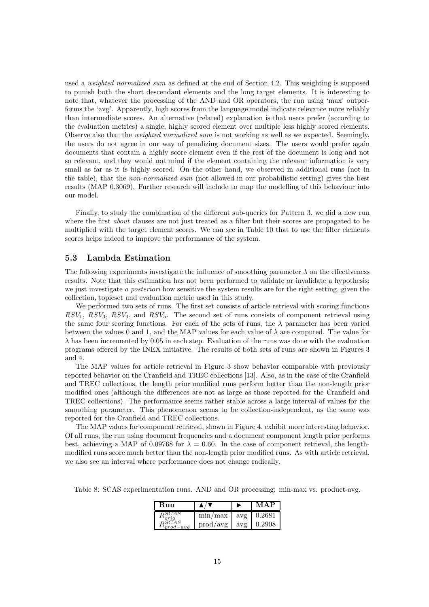used a *weighted normalized sum* as defined at the end of Section 4.2. This weighting is supposed to punish both the short descendant elements and the long target elements. It is interesting to note that, whatever the processing of the AND and OR operators, the run using 'max' outperforms the 'avg'. Apparently, high scores from the language model indicate relevance more reliably than intermediate scores. An alternative (related) explanation is that users prefer (according to the evaluation metrics) a single, highly scored element over multiple less highly scored elements. Observe also that the *weighted normalized sum* is not working as well as we expected. Seemingly, the users do not agree in our way of penalizing document sizes. The users would prefer again documents that contain a highly score element even if the rest of the document is long and not so relevant, and they would not mind if the element containing the relevant information is very small as far as it is highly scored. On the other hand, we observed in additional runs (not in the table), that the non-normalized sum (not allowed in our probabilistic setting) gives the best results (MAP 0.3069). Further research will include to map the modelling of this behaviour into our model.

Finally, to study the combination of the different sub-queries for Pattern 3, we did a new run where the first *about* clauses are not just treated as a filter but their scores are propagated to be multiplied with the target element scores. We can see in Table 10 that to use the filter elements scores helps indeed to improve the performance of the system.

### 5.3 Lambda Estimation

The following experiments investigate the influence of smoothing parameter  $\lambda$  on the effectiveness results. Note that this estimation has not been performed to validate or invalidate a hypothesis; we just investigate a *posteriori* how sensitive the system results are for the right setting, given the collection, topicset and evaluation metric used in this study.

We performed two sets of runs. The first set consists of article retrieval with scoring functions  $RSV_1$ ,  $RSV_3$ ,  $RSV_4$ , and  $RSV_5$ . The second set of runs consists of component retrieval using the same four scoring functions. For each of the sets of runs, the  $\lambda$  parameter has been varied between the values 0 and 1, and the MAP values for each value of  $\lambda$  are computed. The value for  $\lambda$  has been incremented by 0.05 in each step. Evaluation of the runs was done with the evaluation programs offered by the INEX initiative. The results of both sets of runs are shown in Figures 3 and 4.

The MAP values for article retrieval in Figure 3 show behavior comparable with previously reported behavior on the Cranfield and TREC collections [13]. Also, as in the case of the Cranfield and TREC collections, the length prior modified runs perform better than the non-length prior modified ones (although the differences are not as large as those reported for the Cranfield and TREC collections). The performance seems rather stable across a large interval of values for the smoothing parameter. This phenomenon seems to be collection-independent, as the same was reported for the Cranfield and TREC collections.

The MAP values for component retrieval, shown in Figure 4, exhibit more interesting behavior. Of all runs, the run using document frequencies and a document component length prior performs best, achieving a MAP of 0.09768 for  $\lambda = 0.60$ . In the case of component retrieval, the lengthmodified runs score much better than the non-length prior modified runs. As with article retrieval, we also see an interval where performance does not change radically.

Table 8: SCAS experimentation runs. AND and OR processing: min-max vs. product-avg.

| Run           |                          |     | MAP    |
|---------------|--------------------------|-----|--------|
|               | $\min/\max$              | avg | 0.2681 |
| $_{prod-avg}$ | $\text{prod}/\text{avg}$ | avg | 0.2908 |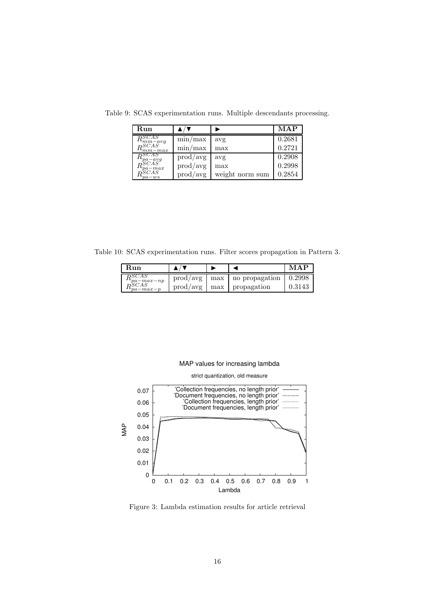| Run                                                                                      |                          |                 | <b>MAP</b> |
|------------------------------------------------------------------------------------------|--------------------------|-----------------|------------|
| RSCAS                                                                                    | $\min/\max$              | avg             | 0.2681     |
| $\frac{1}{RSCAS}$<br>$\epsilon_{mm-max}$                                                 | $\min/\max$              | max             | 0.2721     |
| $\frac{R_{pa-avg}^{SCAS}}{R_{pa-max}^{SCAS}} \ \frac{R_{pa-max}^{SCAS}}{R_{max}^{SCAS}}$ | $\text{prod}/\text{avg}$ | avg             | 0.2908     |
|                                                                                          | $\text{prod}/\text{avg}$ | max             | 0.2998     |
| $v_{pa-ws}$                                                                              | $\text{prod}/\text{avg}$ | weight norm sum | 0.2854     |

Table 9: SCAS experimentation runs. Multiple descendants processing.

Table 10: SCAS experimentation runs. Filter scores propagation in Pattern 3.

| Run                                                             |  |                                                       | MAP    |
|-----------------------------------------------------------------|--|-------------------------------------------------------|--------|
| <i><b>DSCAS</b></i>                                             |  | $\text{prod}/\text{avg}$   max   no propagation       | 0.2998 |
| $\frac{\mu_{pa-max-np}}{PSCAS}$<br>$I_{\nu}u_{\nu}$ $_{-max-p}$ |  | $\text{prod}/\text{avg}$   $\text{max}$   propagation | 0.3143 |

## MAP values for increasing lambda



Figure 3: Lambda estimation results for article retrieval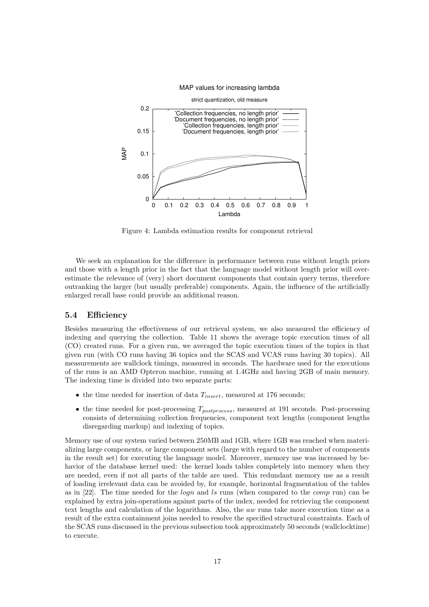#### MAP values for increasing lambda



Figure 4: Lambda estimation results for component retrieval

We seek an explanation for the difference in performance between runs without length priors and those with a length prior in the fact that the language model without length prior will overestimate the relevance of (very) short document components that contain query terms, therefore outranking the larger (but usually preferable) components. Again, the influence of the artificially enlarged recall base could provide an additional reason.

### 5.4 Efficiency

Besides measuring the effectiveness of our retrieval system, we also measured the efficiency of indexing and querying the collection. Table 11 shows the average topic execution times of all (CO) created runs. For a given run, we averaged the topic execution times of the topics in that given run (with CO runs having 36 topics and the SCAS and VCAS runs having 30 topics). All measurements are wallclock timings, measured in seconds. The hardware used for the executions of the runs is an AMD Opteron machine, running at 1.4GHz and having 2GB of main memory. The indexing time is divided into two separate parts:

- the time needed for insertion of data  $T_{insert}$ , measured at 176 seconds;
- the time needed for post-processing  $T_{postprocess}$ , measured at 191 seconds. Post-processing consists of determining collection frequencies, component text lengths (component lengths disregarding markup) and indexing of topics.

Memory use of our system varied between 250MB and 1GB, where 1GB was reached when materializing large components, or large component sets (large with regard to the number of components in the result set) for executing the language model. Moreover, memory use was increased by behavior of the database kernel used: the kernel loads tables completely into memory when they are needed, even if not all parts of the table are used. This redundant memory use as a result of loading irrelevant data can be avoided by, for example, horizontal fragmentation of the tables as in  $[22]$ . The time needed for the *logn* and *ls* runs (when compared to the *comp* run) can be explained by extra join-operations against parts of the index, needed for retrieving the component text lengths and calculation of the logarithms. Also, the aw runs take more execution time as a result of the extra containment joins needed to resolve the specified structural constraints. Each of the SCAS runs discussed in the previous subsection took approximately 50 seconds (wallclocktime) to execute.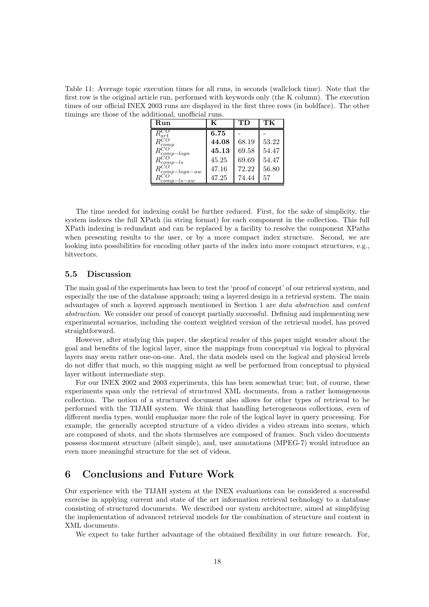Table 11: Average topic execution times for all runs, in seconds (wallclock time). Note that the first row is the original article run, performed with keywords only (the K column). The execution times of our official INEX 2003 runs are displayed in the first three rows (in boldface). The other timings are those of the additional, unofficial runs.

| Run                    | K     | TD    | TК    |
|------------------------|-------|-------|-------|
| $R_{art}^C$            | 6.75  |       |       |
| $^{comp}$              | 44.08 | 68.19 | 53.22 |
| $R_{comp-logn}^{\cup}$ | 45.13 | 69.58 | 54.47 |
| $\alpha_{comp-ls}$     | 45.25 | 69.69 | 54.47 |
| $\iota_{comp-logn-aw}$ | 47.16 | 72.22 | 56.80 |
| $_{ls-aw}$<br>comp     | 47.25 | 74.44 | 57    |

The time needed for indexing could be further reduced. First, for the sake of simplicity, the system indexes the full XPath (in string format) for each component in the collection. This full XPath indexing is redundant and can be replaced by a facility to resolve the component XPaths when presenting results to the user, or by a more compact index structure. Second, we are looking into possibilities for encoding other parts of the index into more compact structures, e.g., bitvectors.

## 5.5 Discussion

The main goal of the experiments has been to test the 'proof of concept' of our retrieval system, and especially the use of the database approach; using a layered design in a retrieval system. The main advantages of such a layered approach mentioned in Section 1 are data abstraction and content abstraction. We consider our proof of concept partially successful. Defining and implementing new experimental scenarios, including the context weighted version of the retrieval model, has proved straightforward.

However, after studying this paper, the skeptical reader of this paper might wonder about the goal and benefits of the logical layer, since the mappings from conceptual via logical to physical layers may seem rather one-on-one. And, the data models used on the logical and physical levels do not differ that much, so this mapping might as well be performed from conceptual to physical layer without intermediate step.

For our INEX 2002 and 2003 experiments, this has been somewhat true; but, of course, these experiments span only the retrieval of structured XML documents, from a rather homogeneous collection. The notion of a structured document also allows for other types of retrieval to be performed with the TIJAH system. We think that handling heterogeneous collections, even of different media types, would emphasize more the role of the logical layer in query processing. For example, the generally accepted structure of a video divides a video stream into scenes, which are composed of shots, and the shots themselves are composed of frames. Such video documents possess document structure (albeit simple), and, user annotations (MPEG-7) would introduce an even more meaningful structure for the set of videos.

# 6 Conclusions and Future Work

Our experience with the TIJAH system at the INEX evaluations can be considered a successful exercise in applying current and state of the art information retrieval technology to a database consisting of structured documents. We described our system architecture, aimed at simplifying the implementation of advanced retrieval models for the combination of structure and content in XML documents.

We expect to take further advantage of the obtained flexibility in our future research. For,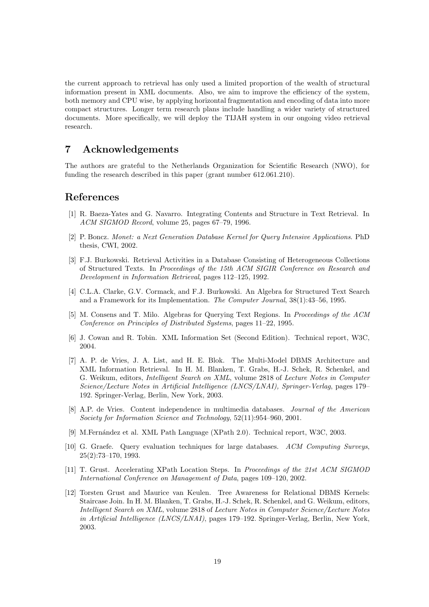the current approach to retrieval has only used a limited proportion of the wealth of structural information present in XML documents. Also, we aim to improve the efficiency of the system, both memory and CPU wise, by applying horizontal fragmentation and encoding of data into more compact structures. Longer term research plans include handling a wider variety of structured documents. More specifically, we will deploy the TIJAH system in our ongoing video retrieval research.

# 7 Acknowledgements

The authors are grateful to the Netherlands Organization for Scientific Research (NWO), for funding the research described in this paper (grant number 612.061.210).

# References

- [1] R. Baeza-Yates and G. Navarro. Integrating Contents and Structure in Text Retrieval. In ACM SIGMOD Record, volume 25, pages 67–79, 1996.
- [2] P. Boncz. Monet: a Next Generation Database Kernel for Query Intensive Applications. PhD thesis, CWI, 2002.
- [3] F.J. Burkowski. Retrieval Activities in a Database Consisting of Heterogeneous Collections of Structured Texts. In Proceedings of the 15th ACM SIGIR Conference on Research and Development in Information Retrieval, pages 112–125, 1992.
- [4] C.L.A. Clarke, G.V. Cormack, and F.J. Burkowski. An Algebra for Structured Text Search and a Framework for its Implementation. The Computer Journal, 38(1):43–56, 1995.
- [5] M. Consens and T. Milo. Algebras for Querying Text Regions. In Proceedings of the ACM Conference on Principles of Distributed Systems, pages 11–22, 1995.
- [6] J. Cowan and R. Tobin. XML Information Set (Second Edition). Technical report, W3C, 2004.
- [7] A. P. de Vries, J. A. List, and H. E. Blok. The Multi-Model DBMS Architecture and XML Information Retrieval. In H. M. Blanken, T. Grabs, H.-J. Schek, R. Schenkel, and G. Weikum, editors, Intelligent Search on XML, volume 2818 of Lecture Notes in Computer Science/Lecture Notes in Artificial Intelligence (LNCS/LNAI), Springer-Verlag, pages 179– 192. Springer-Verlag, Berlin, New York, 2003.
- [8] A.P. de Vries. Content independence in multimedia databases. Journal of the American Society for Information Science and Technology, 52(11):954–960, 2001.
- [9] M.Fernández et al. XML Path Language (XPath 2.0). Technical report, W3C, 2003.
- [10] G. Graefe. Query evaluation techniques for large databases. ACM Computing Surveys, 25(2):73–170, 1993.
- [11] T. Grust. Accelerating XPath Location Steps. In Proceedings of the 21st ACM SIGMOD International Conference on Management of Data, pages 109–120, 2002.
- [12] Torsten Grust and Maurice van Keulen. Tree Awareness for Relational DBMS Kernels: Staircase Join. In H. M. Blanken, T. Grabs, H.-J. Schek, R. Schenkel, and G. Weikum, editors, Intelligent Search on XML, volume 2818 of Lecture Notes in Computer Science/Lecture Notes in Artificial Intelligence (LNCS/LNAI), pages 179–192. Springer-Verlag, Berlin, New York, 2003.